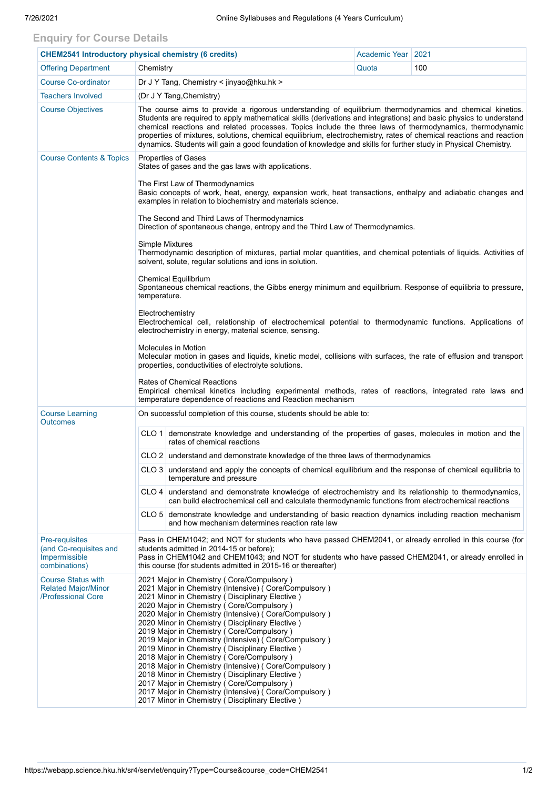## **Enquiry for Course Details**

| <b>CHEM2541 Introductory physical chemistry (6 credits)</b>                   |                                                                                                                                                                                                                                                                                                                                                                                                                                                                                                                                                                                                                                                                                                                                                                                                 | Academic Year   2021                                                                                                                                                                                          |       |     |  |  |  |  |  |
|-------------------------------------------------------------------------------|-------------------------------------------------------------------------------------------------------------------------------------------------------------------------------------------------------------------------------------------------------------------------------------------------------------------------------------------------------------------------------------------------------------------------------------------------------------------------------------------------------------------------------------------------------------------------------------------------------------------------------------------------------------------------------------------------------------------------------------------------------------------------------------------------|---------------------------------------------------------------------------------------------------------------------------------------------------------------------------------------------------------------|-------|-----|--|--|--|--|--|
| <b>Offering Department</b>                                                    | Chemistry                                                                                                                                                                                                                                                                                                                                                                                                                                                                                                                                                                                                                                                                                                                                                                                       |                                                                                                                                                                                                               | Quota | 100 |  |  |  |  |  |
| <b>Course Co-ordinator</b>                                                    | Dr J Y Tang, Chemistry < jinyao@hku.hk >                                                                                                                                                                                                                                                                                                                                                                                                                                                                                                                                                                                                                                                                                                                                                        |                                                                                                                                                                                                               |       |     |  |  |  |  |  |
| <b>Teachers Involved</b>                                                      | (Dr J Y Tang, Chemistry)                                                                                                                                                                                                                                                                                                                                                                                                                                                                                                                                                                                                                                                                                                                                                                        |                                                                                                                                                                                                               |       |     |  |  |  |  |  |
| <b>Course Objectives</b>                                                      | The course aims to provide a rigorous understanding of equilibrium thermodynamics and chemical kinetics.<br>Students are required to apply mathematical skills (derivations and integrations) and basic physics to understand<br>chemical reactions and related processes. Topics include the three laws of thermodynamics, thermodynamic<br>properties of mixtures, solutions, chemical equilibrium, electrochemistry, rates of chemical reactions and reaction<br>dynamics. Students will gain a good foundation of knowledge and skills for further study in Physical Chemistry.                                                                                                                                                                                                             |                                                                                                                                                                                                               |       |     |  |  |  |  |  |
| <b>Course Contents &amp; Topics</b>                                           | <b>Properties of Gases</b><br>States of gases and the gas laws with applications.<br>The First Law of Thermodynamics<br>Basic concepts of work, heat, energy, expansion work, heat transactions, enthalpy and adiabatic changes and<br>examples in relation to biochemistry and materials science.<br>The Second and Third Laws of Thermodynamics<br>Direction of spontaneous change, entropy and the Third Law of Thermodynamics.                                                                                                                                                                                                                                                                                                                                                              |                                                                                                                                                                                                               |       |     |  |  |  |  |  |
|                                                                               |                                                                                                                                                                                                                                                                                                                                                                                                                                                                                                                                                                                                                                                                                                                                                                                                 |                                                                                                                                                                                                               |       |     |  |  |  |  |  |
|                                                                               |                                                                                                                                                                                                                                                                                                                                                                                                                                                                                                                                                                                                                                                                                                                                                                                                 |                                                                                                                                                                                                               |       |     |  |  |  |  |  |
|                                                                               | <b>Simple Mixtures</b><br>Thermodynamic description of mixtures, partial molar quantities, and chemical potentials of liquids. Activities of<br>solvent, solute, regular solutions and ions in solution.                                                                                                                                                                                                                                                                                                                                                                                                                                                                                                                                                                                        |                                                                                                                                                                                                               |       |     |  |  |  |  |  |
|                                                                               | <b>Chemical Equilibrium</b><br>Spontaneous chemical reactions, the Gibbs energy minimum and equilibrium. Response of equilibria to pressure,<br>temperature.                                                                                                                                                                                                                                                                                                                                                                                                                                                                                                                                                                                                                                    |                                                                                                                                                                                                               |       |     |  |  |  |  |  |
|                                                                               | Electrochemistry<br>Electrochemical cell, relationship of electrochemical potential to thermodynamic functions. Applications of<br>electrochemistry in energy, material science, sensing.                                                                                                                                                                                                                                                                                                                                                                                                                                                                                                                                                                                                       |                                                                                                                                                                                                               |       |     |  |  |  |  |  |
|                                                                               | Molecules in Motion<br>Molecular motion in gases and liquids, kinetic model, collisions with surfaces, the rate of effusion and transport<br>properties, conductivities of electrolyte solutions.                                                                                                                                                                                                                                                                                                                                                                                                                                                                                                                                                                                               |                                                                                                                                                                                                               |       |     |  |  |  |  |  |
|                                                                               | <b>Rates of Chemical Reactions</b><br>Empirical chemical kinetics including experimental methods, rates of reactions, integrated rate laws and<br>temperature dependence of reactions and Reaction mechanism                                                                                                                                                                                                                                                                                                                                                                                                                                                                                                                                                                                    |                                                                                                                                                                                                               |       |     |  |  |  |  |  |
| <b>Course Learning</b><br><b>Outcomes</b>                                     | On successful completion of this course, students should be able to:                                                                                                                                                                                                                                                                                                                                                                                                                                                                                                                                                                                                                                                                                                                            |                                                                                                                                                                                                               |       |     |  |  |  |  |  |
|                                                                               |                                                                                                                                                                                                                                                                                                                                                                                                                                                                                                                                                                                                                                                                                                                                                                                                 | CLO 1 demonstrate knowledge and understanding of the properties of gases, molecules in motion and the<br>rates of chemical reactions                                                                          |       |     |  |  |  |  |  |
|                                                                               |                                                                                                                                                                                                                                                                                                                                                                                                                                                                                                                                                                                                                                                                                                                                                                                                 | CLO 2 understand and demonstrate knowledge of the three laws of thermodynamics                                                                                                                                |       |     |  |  |  |  |  |
|                                                                               |                                                                                                                                                                                                                                                                                                                                                                                                                                                                                                                                                                                                                                                                                                                                                                                                 | CLO 3 understand and apply the concepts of chemical equilibrium and the response of chemical equilibria to<br>temperature and pressure                                                                        |       |     |  |  |  |  |  |
|                                                                               |                                                                                                                                                                                                                                                                                                                                                                                                                                                                                                                                                                                                                                                                                                                                                                                                 | CLO 4 understand and demonstrate knowledge of electrochemistry and its relationship to thermodynamics,<br>can build electrochemical cell and calculate thermodynamic functions from electrochemical reactions |       |     |  |  |  |  |  |
|                                                                               |                                                                                                                                                                                                                                                                                                                                                                                                                                                                                                                                                                                                                                                                                                                                                                                                 | CLO 5 demonstrate knowledge and understanding of basic reaction dynamics including reaction mechanism<br>and how mechanism determines reaction rate law                                                       |       |     |  |  |  |  |  |
| Pre-requisites<br>(and Co-requisites and<br>Impermissible<br>combinations)    | Pass in CHEM1042; and NOT for students who have passed CHEM2041, or already enrolled in this course (for<br>students admitted in 2014-15 or before);<br>Pass in CHEM1042 and CHEM1043; and NOT for students who have passed CHEM2041, or already enrolled in<br>this course (for students admitted in 2015-16 or thereafter)                                                                                                                                                                                                                                                                                                                                                                                                                                                                    |                                                                                                                                                                                                               |       |     |  |  |  |  |  |
| <b>Course Status with</b><br><b>Related Major/Minor</b><br>/Professional Core | 2021 Major in Chemistry ( Core/Compulsory )<br>2021 Major in Chemistry (Intensive) (Core/Compulsory)<br>2021 Minor in Chemistry (Disciplinary Elective)<br>2020 Major in Chemistry ( Core/Compulsory )<br>2020 Major in Chemistry (Intensive) ( Core/Compulsory )<br>2020 Minor in Chemistry (Disciplinary Elective)<br>2019 Major in Chemistry (Core/Compulsory)<br>2019 Major in Chemistry (Intensive) (Core/Compulsory)<br>2019 Minor in Chemistry (Disciplinary Elective)<br>2018 Major in Chemistry (Core/Compulsory)<br>2018 Major in Chemistry (Intensive) (Core/Compulsory)<br>2018 Minor in Chemistry (Disciplinary Elective)<br>2017 Major in Chemistry (Core/Compulsory)<br>2017 Major in Chemistry (Intensive) (Core/Compulsory)<br>2017 Minor in Chemistry (Disciplinary Elective) |                                                                                                                                                                                                               |       |     |  |  |  |  |  |